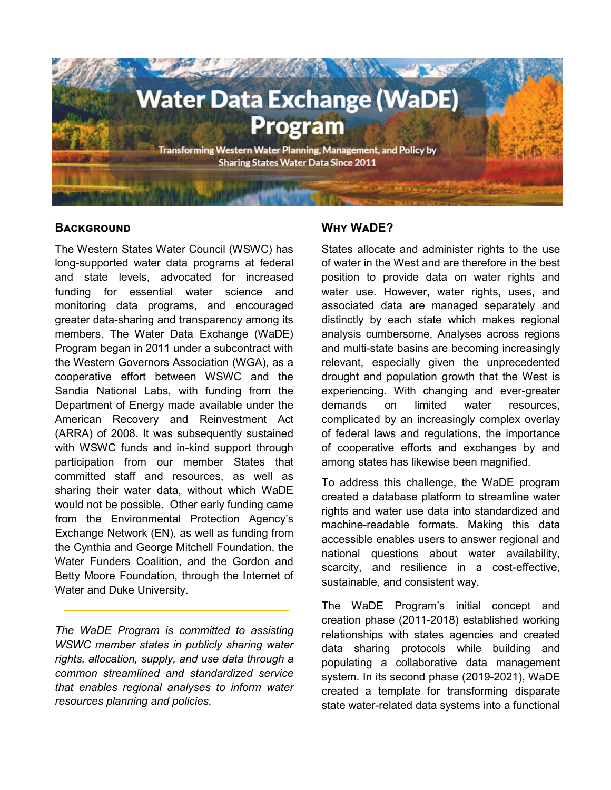

## **BACKGROUND**

The Western States Water Council (WSWC) has long-supported water data programs at federal and state levels, advocated for increased funding for essential water science and monitoring data programs, and encouraged greater data-sharing and transparency among its members. The Water Data Exchange (WaDE) Program began in 2011 under a subcontract with the Western Governors Association (WGA), as a cooperative effort between WSWC and the Sandia National Labs, with funding from the Department of Energy made available under the American Recovery and Reinvestment Act (ARRA) of 2008. It was subsequently sustained with WSWC funds and in-kind support through participation from our member States that committed staff and resources, as well as sharing their water data, without which WaDE would not be possible. Other early funding came from the Environmental Protection Agency's Exchange Network (EN), as well as funding from the Cynthia and George Mitchell Foundation, the Water Funders Coalition, and the Gordon and Betty Moore Foundation, through the Internet of Water and Duke University.

*The WaDE Program is committed to assisting WSWC member states in publicly sharing water rights, allocation, supply, and use data through a common streamlined and standardized service that enables regional analyses to inform water resources planning and policies.*

## **Why WaDE?**

States allocate and administer rights to the use of water in the West and are therefore in the best position to provide data on water rights and water use. However, water rights, uses, and associated data are managed separately and distinctly by each state which makes regional analysis cumbersome. Analyses across regions and multi-state basins are becoming increasingly relevant, especially given the unprecedented drought and population growth that the West is experiencing. With changing and ever-greater demands on limited water resources, complicated by an increasingly complex overlay of federal laws and regulations, the importance of cooperative efforts and exchanges by and among states has likewise been magnified.

To address this challenge, the WaDE program created a database platform to streamline water rights and water use data into standardized and machine-readable formats. Making this data accessible enables users to answer regional and national questions about water availability, scarcity, and resilience in a cost-effective, sustainable, and consistent way.

The WaDE Program's initial concept and creation phase (2011-2018) established working relationships with states agencies and created data sharing protocols while building and populating a collaborative data management system. In its second phase (2019-2021), WaDE created a template for transforming disparate state water-related data systems into a functional